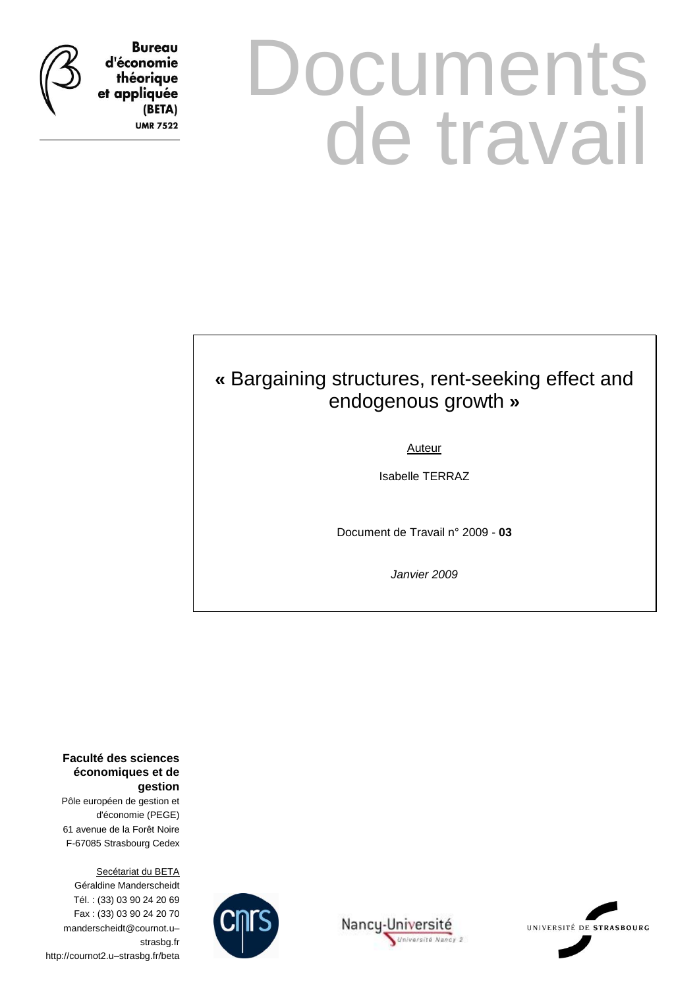

**Bureau** d'économie théorique et appliquée (BETA) **UMR 7522** 

# **Documents** de travail

### **«** Bargaining structures, rent-seeking effect and endogenous growth **»**

Auteur

Isabelle TERRAZ

Document de Travail n° 2009 - **03**

*Janvier 2009*

**Faculté des sciences économiques et de gestion**

Pôle européen de gestion et d'économie (PEGE) 61 avenue de la Forêt Noire F-67085 Strasbourg Cedex

Secétariat du BETA Géraldine Manderscheidt Tél. : (33) 03 90 24 20 69 Fax : (33) 03 90 24 20 70 manderscheidt@cournot.u– strasbg.fr http://cournot2.u–strasbg.fr/beta





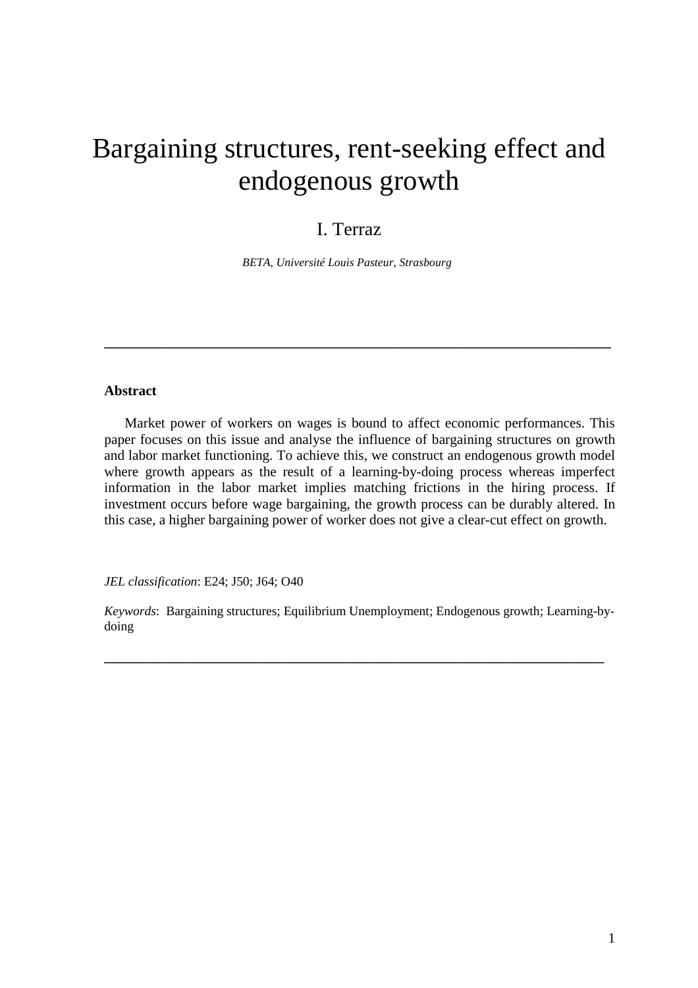## Bargaining structures, rent-seeking effect and endogenous growth

#### I. Terraz

*BETA, Université Louis Pasteur, Strasbourg* 

#### **Abstract**

 Market power of workers on wages is bound to affect economic performances. This paper focuses on this issue and analyse the influence of bargaining structures on growth and labor market functioning. To achieve this, we construct an endogenous growth model where growth appears as the result of a learning-by-doing process whereas imperfect information in the labor market implies matching frictions in the hiring process. If investment occurs before wage bargaining, the growth process can be durably altered. In this case, a higher bargaining power of worker does not give a clear-cut effect on growth.

**\_\_\_\_\_\_\_\_\_\_\_\_\_\_\_\_\_\_\_\_\_\_\_\_\_\_\_\_\_\_\_\_\_\_\_\_\_\_\_\_\_\_\_\_\_\_\_\_\_\_\_\_\_\_\_\_\_\_\_\_\_\_\_\_\_\_\_\_\_\_\_\_** 

*JEL classification*: E24; J50; J64; O40

*Keywords*: Bargaining structures; Equilibrium Unemployment; Endogenous growth; Learning-bydoing

**\_\_\_\_\_\_\_\_\_\_\_\_\_\_\_\_\_\_\_\_\_\_\_\_\_\_\_\_\_\_\_\_\_\_\_\_\_\_\_\_\_\_\_\_\_\_\_\_\_\_\_\_\_\_\_\_\_\_\_\_\_\_\_\_\_\_\_\_\_\_\_**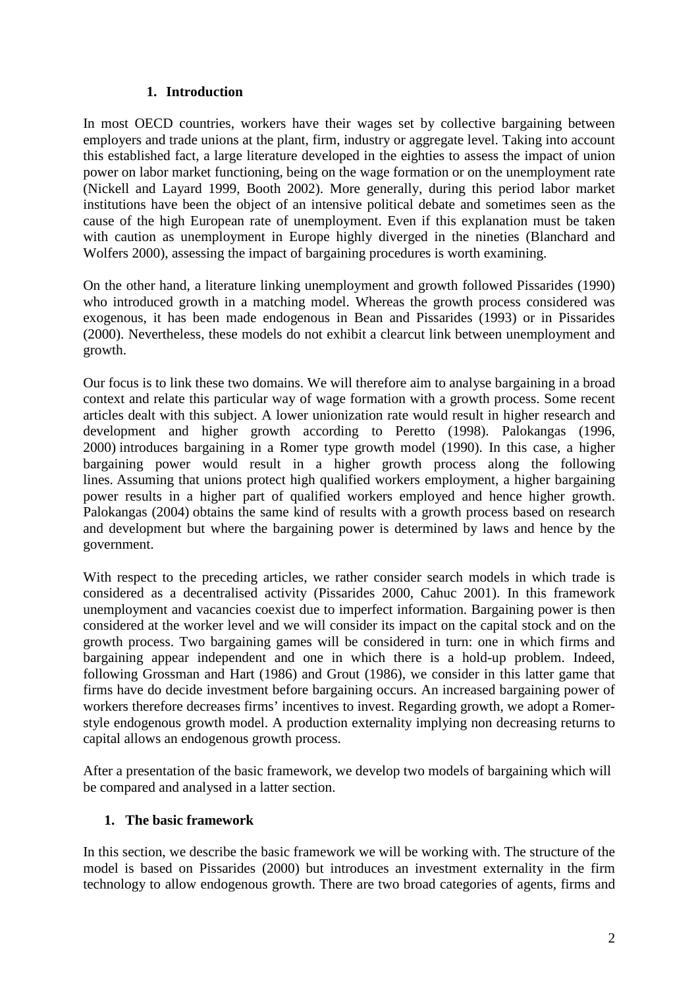#### **1. Introduction**

In most OECD countries, workers have their wages set by collective bargaining between employers and trade unions at the plant, firm, industry or aggregate level. Taking into account this established fact, a large literature developed in the eighties to assess the impact of union power on labor market functioning, being on the wage formation or on the unemployment rate (Nickell and Layard 1999, Booth 2002). More generally, during this period labor market institutions have been the object of an intensive political debate and sometimes seen as the cause of the high European rate of unemployment. Even if this explanation must be taken with caution as unemployment in Europe highly diverged in the nineties (Blanchard and Wolfers 2000), assessing the impact of bargaining procedures is worth examining.

On the other hand, a literature linking unemployment and growth followed Pissarides (1990) who introduced growth in a matching model. Whereas the growth process considered was exogenous, it has been made endogenous in Bean and Pissarides (1993) or in Pissarides (2000). Nevertheless, these models do not exhibit a clearcut link between unemployment and growth.

Our focus is to link these two domains. We will therefore aim to analyse bargaining in a broad context and relate this particular way of wage formation with a growth process. Some recent articles dealt with this subject. A lower unionization rate would result in higher research and development and higher growth according to Peretto (1998). Palokangas (1996, 2000) introduces bargaining in a Romer type growth model (1990). In this case, a higher bargaining power would result in a higher growth process along the following lines. Assuming that unions protect high qualified workers employment, a higher bargaining power results in a higher part of qualified workers employed and hence higher growth. Palokangas (2004) obtains the same kind of results with a growth process based on research and development but where the bargaining power is determined by laws and hence by the government.

With respect to the preceding articles, we rather consider search models in which trade is considered as a decentralised activity (Pissarides 2000, Cahuc 2001). In this framework unemployment and vacancies coexist due to imperfect information. Bargaining power is then considered at the worker level and we will consider its impact on the capital stock and on the growth process. Two bargaining games will be considered in turn: one in which firms and bargaining appear independent and one in which there is a hold-up problem. Indeed, following Grossman and Hart (1986) and Grout (1986), we consider in this latter game that firms have do decide investment before bargaining occurs. An increased bargaining power of workers therefore decreases firms' incentives to invest. Regarding growth, we adopt a Romerstyle endogenous growth model. A production externality implying non decreasing returns to capital allows an endogenous growth process.

After a presentation of the basic framework, we develop two models of bargaining which will be compared and analysed in a latter section.

#### **1. The basic framework**

In this section, we describe the basic framework we will be working with. The structure of the model is based on Pissarides (2000) but introduces an investment externality in the firm technology to allow endogenous growth. There are two broad categories of agents, firms and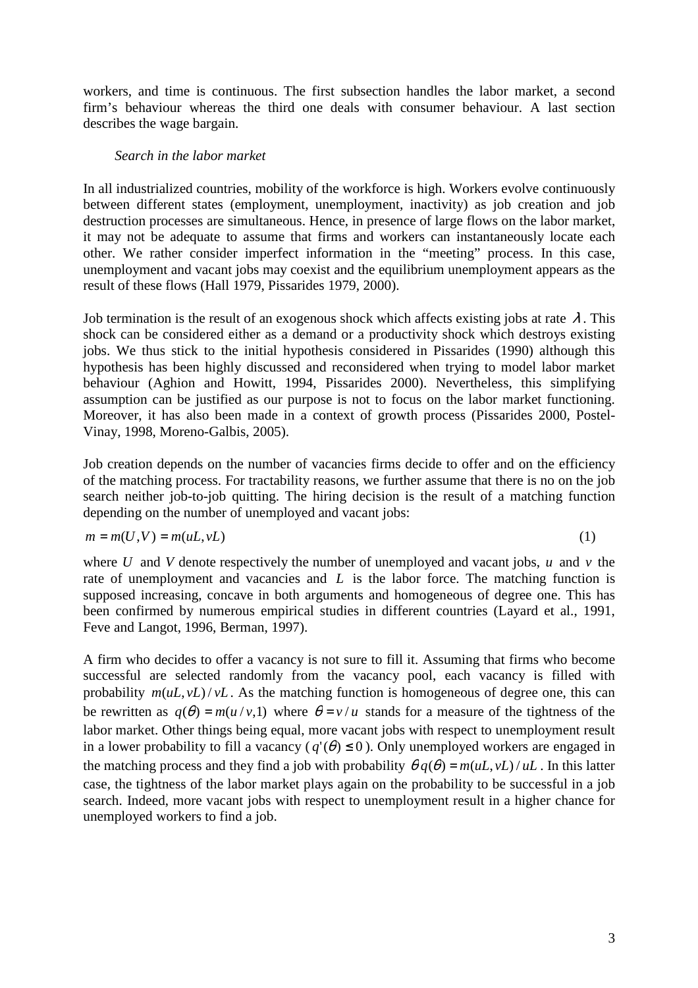workers, and time is continuous. The first subsection handles the labor market, a second firm's behaviour whereas the third one deals with consumer behaviour. A last section describes the wage bargain.

#### *Search in the labor market*

In all industrialized countries, mobility of the workforce is high. Workers evolve continuously between different states (employment, unemployment, inactivity) as job creation and job destruction processes are simultaneous. Hence, in presence of large flows on the labor market, it may not be adequate to assume that firms and workers can instantaneously locate each other. We rather consider imperfect information in the "meeting" process. In this case, unemployment and vacant jobs may coexist and the equilibrium unemployment appears as the result of these flows (Hall 1979, Pissarides 1979, 2000).

Job termination is the result of an exogenous shock which affects existing jobs at rate  $\lambda$ . This shock can be considered either as a demand or a productivity shock which destroys existing jobs. We thus stick to the initial hypothesis considered in Pissarides (1990) although this hypothesis has been highly discussed and reconsidered when trying to model labor market behaviour (Aghion and Howitt, 1994, Pissarides 2000). Nevertheless, this simplifying assumption can be justified as our purpose is not to focus on the labor market functioning. Moreover, it has also been made in a context of growth process (Pissarides 2000, Postel-Vinay, 1998, Moreno-Galbis, 2005).

Job creation depends on the number of vacancies firms decide to offer and on the efficiency of the matching process. For tractability reasons, we further assume that there is no on the job search neither job-to-job quitting. The hiring decision is the result of a matching function depending on the number of unemployed and vacant jobs:

$$
m = m(U, V) = m(uL, vL)
$$
\n<sup>(1)</sup>

where *U* and *V* denote respectively the number of unemployed and vacant jobs, *u* and *v* the rate of unemployment and vacancies and *L* is the labor force. The matching function is supposed increasing, concave in both arguments and homogeneous of degree one. This has been confirmed by numerous empirical studies in different countries (Layard et al., 1991, Feve and Langot, 1996, Berman, 1997).

A firm who decides to offer a vacancy is not sure to fill it. Assuming that firms who become successful are selected randomly from the vacancy pool, each vacancy is filled with probability  $m(uL, vL)/vL$ . As the matching function is homogeneous of degree one, this can be rewritten as  $q(\theta) = m(u/v, 1)$  where  $\theta = v/u$  stands for a measure of the tightness of the labor market. Other things being equal, more vacant jobs with respect to unemployment result in a lower probability to fill a vacancy ( $q'(\theta) \le 0$ ). Only unemployed workers are engaged in the matching process and they find a job with probability  $\theta q(\theta) = m(uL, vL)/uL$ . In this latter case, the tightness of the labor market plays again on the probability to be successful in a job search. Indeed, more vacant jobs with respect to unemployment result in a higher chance for unemployed workers to find a job.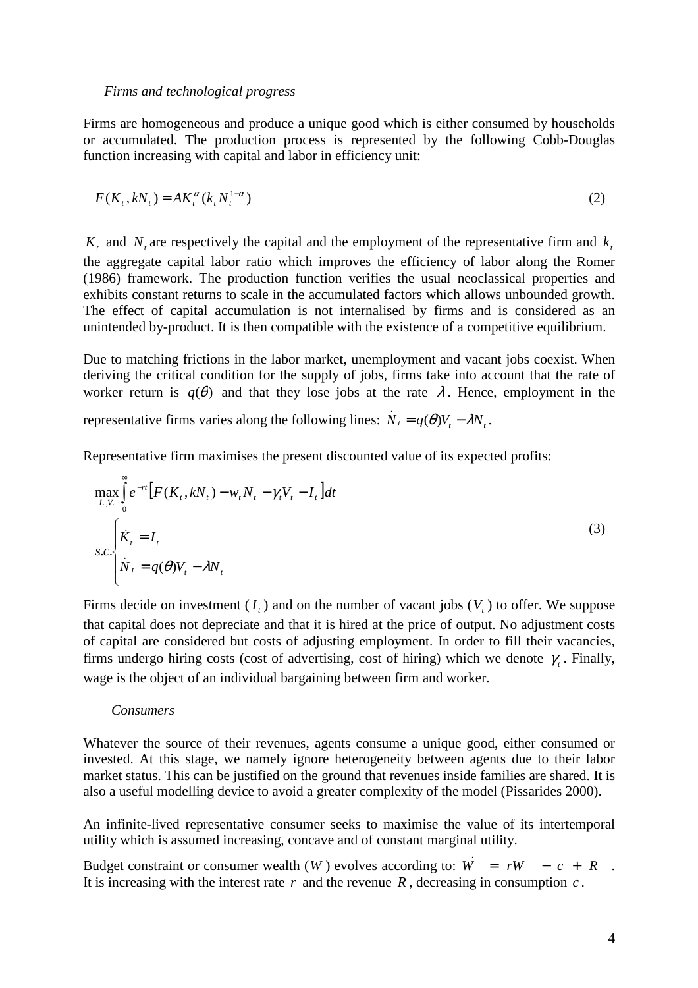*Firms and technological progress* 

Firms are homogeneous and produce a unique good which is either consumed by households or accumulated. The production process is represented by the following Cobb-Douglas function increasing with capital and labor in efficiency unit:

$$
F(Kt, kNt) = AKt\alpha(ktNt1-\alpha)
$$
\n(2)

 $K_t$  and  $N_t$  are respectively the capital and the employment of the representative firm and  $k_t$ the aggregate capital labor ratio which improves the efficiency of labor along the Romer (1986) framework. The production function verifies the usual neoclassical properties and exhibits constant returns to scale in the accumulated factors which allows unbounded growth. The effect of capital accumulation is not internalised by firms and is considered as an unintended by-product. It is then compatible with the existence of a competitive equilibrium.

Due to matching frictions in the labor market, unemployment and vacant jobs coexist. When deriving the critical condition for the supply of jobs, firms take into account that the rate of worker return is  $q(\theta)$  and that they lose jobs at the rate  $\lambda$ . Hence, employment in the

representative firms varies along the following lines:  $N_t = q(\theta)V_t - \lambda N_t$ .

Representative firm maximises the present discounted value of its expected profits:

$$
\max_{I_t, V_t} \int_0^\infty e^{-rt} \left[ F(K_t, kN_t) - w_t N_t - \gamma_t V_t - I_t \right] dt
$$
\n
$$
s.c. \begin{cases} \dot{K}_t = I_t \\ N_t = q(\theta) V_t - \lambda N_t \end{cases} \tag{3}
$$

Firms decide on investment  $(I_t)$  and on the number of vacant jobs  $(V_t)$  to offer. We suppose that capital does not depreciate and that it is hired at the price of output. No adjustment costs of capital are considered but costs of adjusting employment. In order to fill their vacancies, firms undergo hiring costs (cost of advertising, cost of hiring) which we denote  $\gamma$ . Finally, wage is the object of an individual bargaining between firm and worker.

#### *Consumers*

Whatever the source of their revenues, agents consume a unique good, either consumed or invested. At this stage, we namely ignore heterogeneity between agents due to their labor market status. This can be justified on the ground that revenues inside families are shared. It is also a useful modelling device to avoid a greater complexity of the model (Pissarides 2000).

An infinite-lived representative consumer seeks to maximise the value of its intertemporal utility which is assumed increasing, concave and of constant marginal utility.

Budget constraint or consumer wealth  $(W)$  evolves according to:  $W = rW - c + R$ . . It is increasing with the interest rate *r* and the revenue *R* , decreasing in consumption *c* .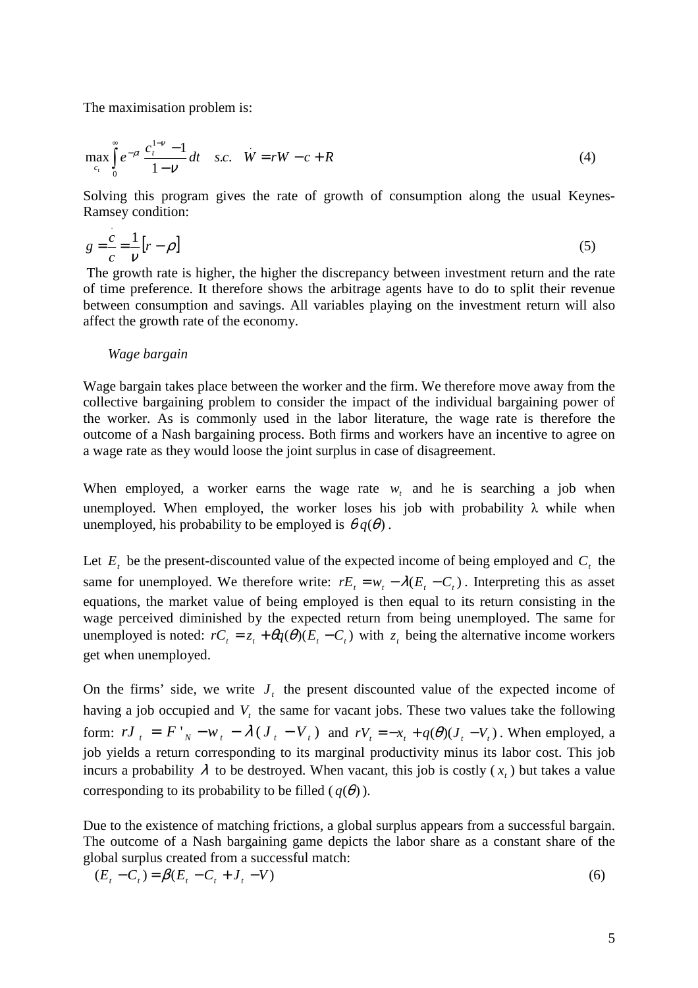The maximisation problem is:

$$
\max_{c_t} \int_0^{\infty} e^{-\rho t} \frac{c_t^{1-\nu} - 1}{1 - \nu} dt \quad s.c. \quad W = rW - c + R
$$
 (4)

Solving this program gives the rate of growth of consumption along the usual Keynes-Ramsey condition:

$$
g = \frac{c}{c} = \frac{1}{\nu} \left[ r - \rho \right] \tag{5}
$$

 The growth rate is higher, the higher the discrepancy between investment return and the rate of time preference. It therefore shows the arbitrage agents have to do to split their revenue between consumption and savings. All variables playing on the investment return will also affect the growth rate of the economy.

#### *Wage bargain*

Wage bargain takes place between the worker and the firm. We therefore move away from the collective bargaining problem to consider the impact of the individual bargaining power of the worker. As is commonly used in the labor literature, the wage rate is therefore the outcome of a Nash bargaining process. Both firms and workers have an incentive to agree on a wage rate as they would loose the joint surplus in case of disagreement.

When employed, a worker earns the wage rate  $w_t$  and he is searching a job when unemployed. When employed, the worker loses his job with probability  $\lambda$  while when unemployed, his probability to be employed is  $\theta q(\theta)$ .

Let  $E_t$  be the present-discounted value of the expected income of being employed and  $C_t$  the same for unemployed. We therefore write:  $rE_t = w_t - \lambda(E_t - C_t)$ . Interpreting this as asset equations, the market value of being employed is then equal to its return consisting in the wage perceived diminished by the expected return from being unemployed. The same for unemployed is noted:  $rC_t = z_t + \theta q(\theta)(E_t - C_t)$  with  $z_t$  being the alternative income workers get when unemployed.

On the firms' side, we write  $J_t$  the present discounted value of the expected income of having a job occupied and *V<sup>t</sup>* the same for vacant jobs. These two values take the following form:  $rJ_t = F'_{N} - w_t - \lambda (J_t - V_t)$  and  $rV_t = -x_t + q(\theta)(J_t - V_t)$ . When employed, a job yields a return corresponding to its marginal productivity minus its labor cost. This job incurs a probability  $\lambda$  to be destroyed. When vacant, this job is costly  $(x_t)$  but takes a value corresponding to its probability to be filled  $(q(\theta))$ .

Due to the existence of matching frictions, a global surplus appears from a successful bargain. The outcome of a Nash bargaining game depicts the labor share as a constant share of the global surplus created from a successful match:

$$
(E_t - C_t) = \beta (E_t - C_t + J_t - V) \tag{6}
$$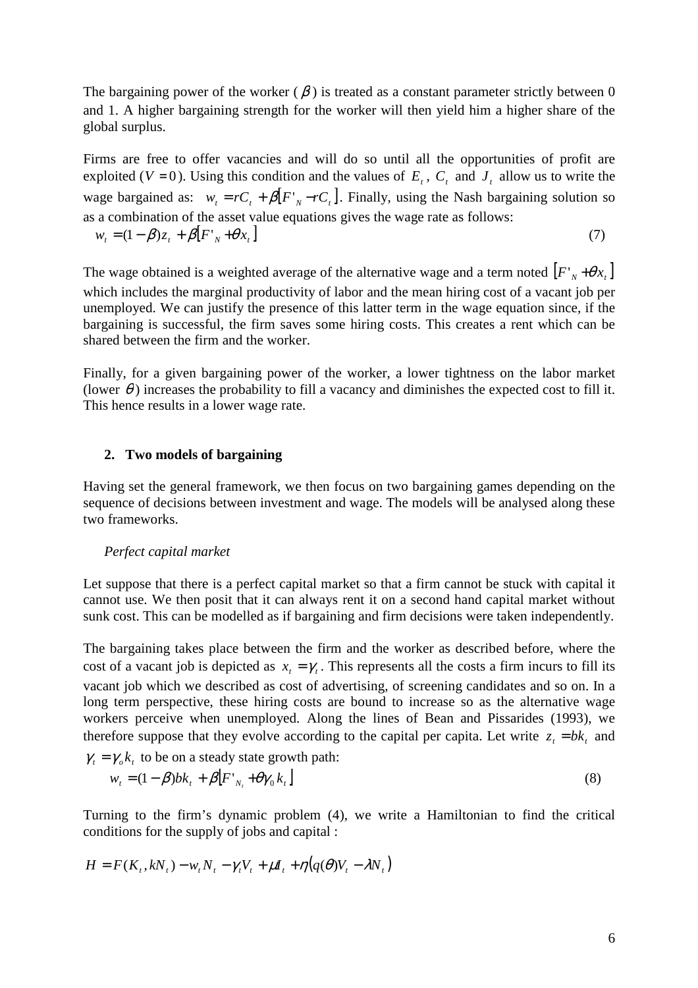The bargaining power of the worker  $(\beta)$  is treated as a constant parameter strictly between 0 and 1. A higher bargaining strength for the worker will then yield him a higher share of the global surplus.

Firms are free to offer vacancies and will do so until all the opportunities of profit are exploited ( $V = 0$ ). Using this condition and the values of  $E_t$ ,  $C_t$  and  $J_t$  allow us to write the wage bargained as:  $w_t = rC_t + \beta [F'_{N} - rC_t]$ . Finally, using the Nash bargaining solution so as a combination of the asset value equations gives the wage rate as follows:  $w_t = (1 - \beta)z_t + \beta [F'_{N} + \theta x_t]$  (7)

The wage obtained is a weighted average of the alternative wage and a term noted  $[F'_{N} + \theta x_{t}]$ which includes the marginal productivity of labor and the mean hiring cost of a vacant job per unemployed. We can justify the presence of this latter term in the wage equation since, if the bargaining is successful, the firm saves some hiring costs. This creates a rent which can be shared between the firm and the worker.

Finally, for a given bargaining power of the worker, a lower tightness on the labor market (lower  $\theta$ ) increases the probability to fill a vacancy and diminishes the expected cost to fill it. This hence results in a lower wage rate.

#### **2. Two models of bargaining**

Having set the general framework, we then focus on two bargaining games depending on the sequence of decisions between investment and wage. The models will be analysed along these two frameworks.

#### *Perfect capital market*

Let suppose that there is a perfect capital market so that a firm cannot be stuck with capital it cannot use. We then posit that it can always rent it on a second hand capital market without sunk cost. This can be modelled as if bargaining and firm decisions were taken independently.

The bargaining takes place between the firm and the worker as described before, where the cost of a vacant job is depicted as  $x_t = \gamma_t$ . This represents all the costs a firm incurs to fill its vacant job which we described as cost of advertising, of screening candidates and so on. In a long term perspective, these hiring costs are bound to increase so as the alternative wage workers perceive when unemployed. Along the lines of Bean and Pissarides (1993), we therefore suppose that they evolve according to the capital per capita. Let write  $z_t = bk_t$  and

$$
\gamma_t = \gamma_o k_t \text{ to be on a steady state growth path:}
$$
  
\n
$$
w_t = (1 - \beta)bk_t + \beta [F'_{N_t} + \theta \gamma_0 k_t]
$$
\n(8)

Turning to the firm's dynamic problem (4), we write a Hamiltonian to find the critical conditions for the supply of jobs and capital :

$$
H = F(K_t, kN_t) - w_t N_t - \gamma_t V_t + \mu I_t + \eta (q(\theta) V_t - \lambda N_t)
$$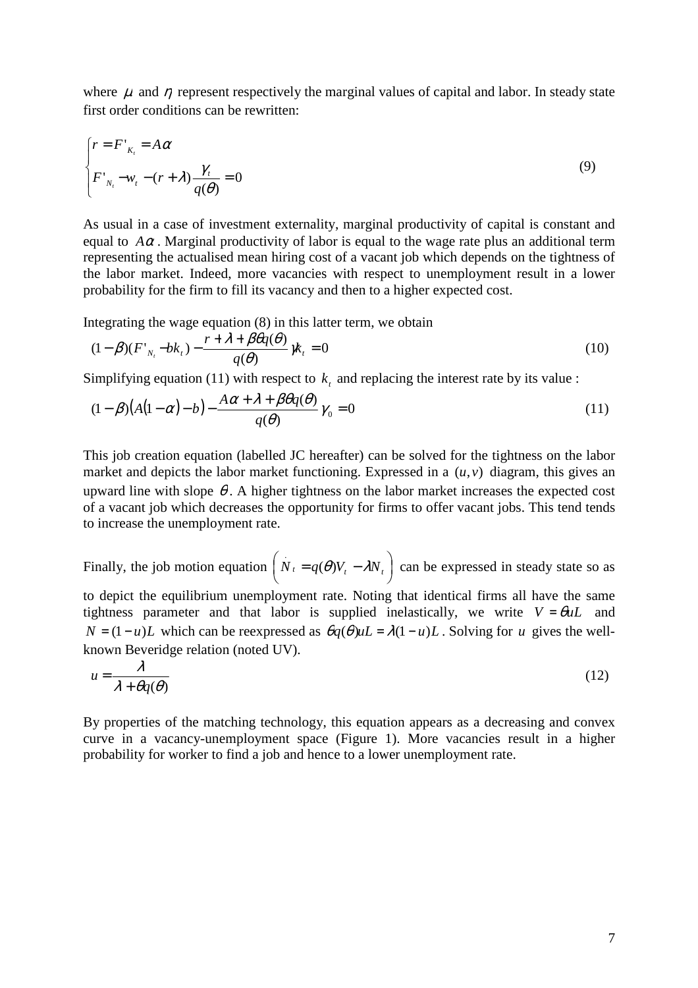where  $\mu$  and  $\eta$  represent respectively the marginal values of capital and labor. In steady state first order conditions can be rewritten:

$$
\begin{cases}\nr = F'_{\kappa_i} = A\alpha \\
F'_{\kappa_i} - w_i - (r + \lambda)\frac{\gamma_i}{q(\theta)} = 0\n\end{cases}
$$
\n(9)

As usual in a case of investment externality, marginal productivity of capital is constant and equal to  $A\alpha$ . Marginal productivity of labor is equal to the wage rate plus an additional term representing the actualised mean hiring cost of a vacant job which depends on the tightness of the labor market. Indeed, more vacancies with respect to unemployment result in a lower probability for the firm to fill its vacancy and then to a higher expected cost.

Integrating the wage equation (8) in this latter term, we obtain

$$
(1 - \beta)(F'_{N_t} - bk_t) - \frac{r + \lambda + \beta\theta q(\theta)}{q(\theta)}\gamma k_t = 0
$$
\n(10)

Simplifying equation (11) with respect to  $k<sub>t</sub>$  and replacing the interest rate by its value :

$$
(1 - \beta)(A(1 - \alpha) - b) - \frac{A\alpha + \lambda + \beta\theta q(\theta)}{q(\theta)}\gamma_0 = 0
$$
\n(11)

This job creation equation (labelled JC hereafter) can be solved for the tightness on the labor market and depicts the labor market functioning. Expressed in a  $(u, v)$  diagram, this gives an upward line with slope  $\theta$ . A higher tightness on the labor market increases the expected cost of a vacant job which decreases the opportunity for firms to offer vacant jobs. This tend tends to increase the unemployment rate.

Finally, the job motion equation  $|N_t = q(\theta)V_t - \lambda N_t|$ J  $\begin{pmatrix} \ddots \\ N_t = q(\theta)V_t - \lambda N_t \end{pmatrix}$  $\setminus$  $\left(N_t = q(\theta)V_t - \lambda N_t\right)$  can be expressed in steady state so as to depict the equilibrium unemployment rate. Noting that identical firms all have the same tightness parameter and that labor is supplied inelastically, we write  $V = \theta u L$  and  $N = (1 - u)L$  which can be reexpressed as  $\theta q(\theta)uL = \lambda(1 - u)L$ . Solving for *u* gives the wellknown Beveridge relation (noted UV).

$$
u = \frac{\lambda}{\lambda + \theta q(\theta)}\tag{12}
$$

By properties of the matching technology, this equation appears as a decreasing and convex curve in a vacancy-unemployment space (Figure 1). More vacancies result in a higher probability for worker to find a job and hence to a lower unemployment rate.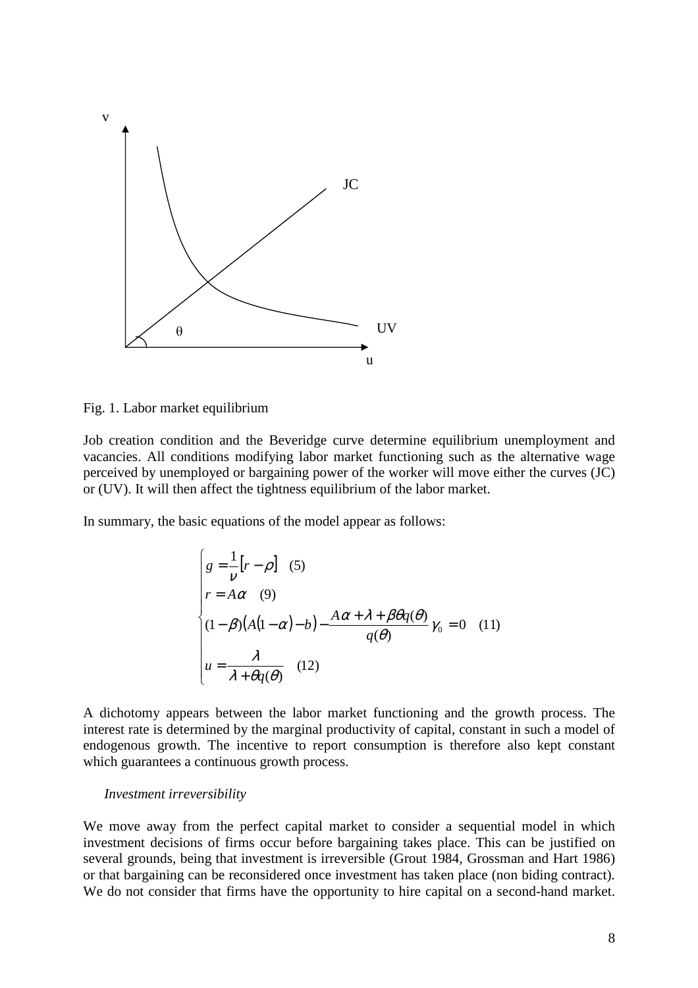

Fig. 1. Labor market equilibrium

Job creation condition and the Beveridge curve determine equilibrium unemployment and vacancies. All conditions modifying labor market functioning such as the alternative wage perceived by unemployed or bargaining power of the worker will move either the curves (JC) or (UV). It will then affect the tightness equilibrium of the labor market.

In summary, the basic equations of the model appear as follows:

$$
\begin{cases}\ng = \frac{1}{\nu} [r - \rho] & (5) \\
r = A\alpha & (9) \\
(1 - \beta)(A(1 - \alpha) - b) - \frac{A\alpha + \lambda + \beta\theta q(\theta)}{q(\theta)} \gamma_0 = 0 & (11) \\
u = \frac{\lambda}{\lambda + \theta q(\theta)} & (12)\n\end{cases}
$$

A dichotomy appears between the labor market functioning and the growth process. The interest rate is determined by the marginal productivity of capital, constant in such a model of endogenous growth. The incentive to report consumption is therefore also kept constant which guarantees a continuous growth process.

#### *Investment irreversibility*

We move away from the perfect capital market to consider a sequential model in which investment decisions of firms occur before bargaining takes place. This can be justified on several grounds, being that investment is irreversible (Grout 1984, Grossman and Hart 1986) or that bargaining can be reconsidered once investment has taken place (non biding contract). We do not consider that firms have the opportunity to hire capital on a second-hand market.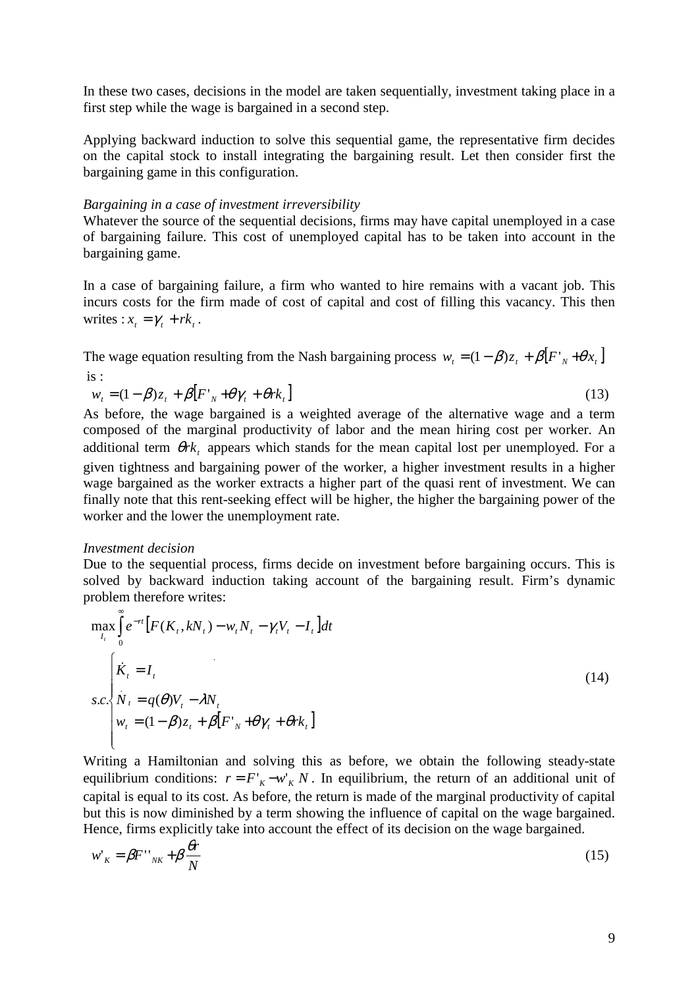In these two cases, decisions in the model are taken sequentially, investment taking place in a first step while the wage is bargained in a second step.

Applying backward induction to solve this sequential game, the representative firm decides on the capital stock to install integrating the bargaining result. Let then consider first the bargaining game in this configuration.

#### *Bargaining in a case of investment irreversibility*

Whatever the source of the sequential decisions, firms may have capital unemployed in a case of bargaining failure. This cost of unemployed capital has to be taken into account in the bargaining game.

In a case of bargaining failure, a firm who wanted to hire remains with a vacant job. This incurs costs for the firm made of cost of capital and cost of filling this vacancy. This then writes :  $x_t = \gamma_t + rk_t$ .

The wage equation resulting from the Nash bargaining process  $w_t = (1 - \beta)z_t + \beta [F'_t + \theta x_t]$ is :

$$
w_t = (1 - \beta)z_t + \beta [F'_{N} + \theta \gamma_t + \theta r k_t]
$$
\n(13)

As before, the wage bargained is a weighted average of the alternative wage and a term composed of the marginal productivity of labor and the mean hiring cost per worker. An additional term  $\theta$ rk, appears which stands for the mean capital lost per unemployed. For a given tightness and bargaining power of the worker, a higher investment results in a higher wage bargained as the worker extracts a higher part of the quasi rent of investment. We can finally note that this rent-seeking effect will be higher, the higher the bargaining power of the worker and the lower the unemployment rate.

#### *Investment decision*

Due to the sequential process, firms decide on investment before bargaining occurs. This is solved by backward induction taking account of the bargaining result. Firm's dynamic problem therefore writes:

$$
\max_{I_t} \int_0^{\infty} e^{-rt} \left[ F(K_t, kN_t) - w_t N_t - \gamma_t V_t - I_t \right] dt
$$
\n
$$
s.c. \begin{cases} \n\dot{K}_t = I_t \\ \nN_t = q(\theta) V_t - \lambda N_t \\ \nw_t = (1 - \beta) z_t + \beta \left[ F'_{N} + \theta \gamma_t + \theta r k_t \right] \n\end{cases} \tag{14}
$$

Writing a Hamiltonian and solving this as before, we obtain the following steady-state equilibrium conditions:  $r = F'_{K} - w'_{K} N$ . In equilibrium, the return of an additional unit of capital is equal to its cost. As before, the return is made of the marginal productivity of capital but this is now diminished by a term showing the influence of capital on the wage bargained. Hence, firms explicitly take into account the effect of its decision on the wage bargained.

$$
w'_{K} = \beta F''_{NK} + \beta \frac{\theta r}{N}
$$
 (15)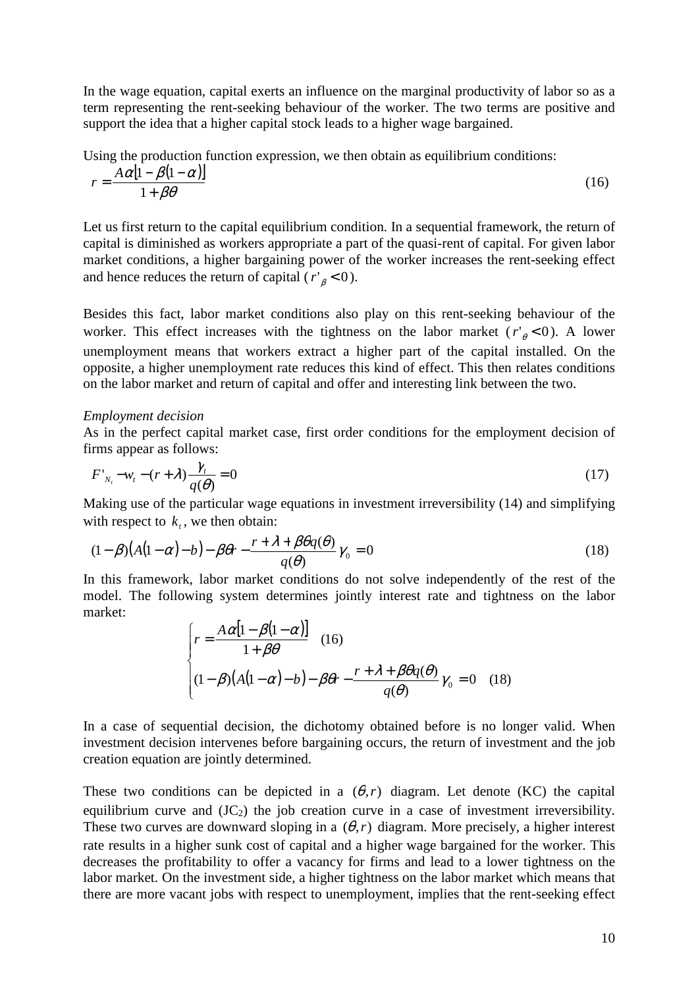In the wage equation, capital exerts an influence on the marginal productivity of labor so as a term representing the rent-seeking behaviour of the worker. The two terms are positive and support the idea that a higher capital stock leads to a higher wage bargained.

Using the production function expression, we then obtain as equilibrium conditions:

$$
r = \frac{A\alpha[1 - \beta(1 - \alpha)]}{1 + \beta\theta} \tag{16}
$$

Let us first return to the capital equilibrium condition. In a sequential framework, the return of capital is diminished as workers appropriate a part of the quasi-rent of capital. For given labor market conditions, a higher bargaining power of the worker increases the rent-seeking effect and hence reduces the return of capital  $(r'_{\beta} < 0)$ .

Besides this fact, labor market conditions also play on this rent-seeking behaviour of the worker. This effect increases with the tightness on the labor market  $(r'_{\theta} < 0)$ . A lower unemployment means that workers extract a higher part of the capital installed. On the opposite, a higher unemployment rate reduces this kind of effect. This then relates conditions on the labor market and return of capital and offer and interesting link between the two.

#### *Employment decision*

As in the perfect capital market case, first order conditions for the employment decision of firms appear as follows:

$$
F'_{N_t} - w_t - (r + \lambda) \frac{\gamma_t}{q(\theta)} = 0
$$
\n(17)

Making use of the particular wage equations in investment irreversibility (14) and simplifying with respect to  $k_t$ , we then obtain:

$$
(1 - \beta)(A(1 - \alpha) - b) - \beta \theta r - \frac{r + \lambda + \beta \theta q(\theta)}{q(\theta)} \gamma_0 = 0
$$
\n(18)

In this framework, labor market conditions do not solve independently of the rest of the model. The following system determines jointly interest rate and tightness on the labor market:

$$
\begin{cases}\nr = \frac{A\alpha[1-\beta(1-\alpha)]}{1+\beta\theta} & (16) \\
(1-\beta)(A(1-\alpha)-b) - \beta\theta r - \frac{r+\lambda+\beta\theta q(\theta)}{q(\theta)}\gamma_0 = 0 & (18)\n\end{cases}
$$

In a case of sequential decision, the dichotomy obtained before is no longer valid. When investment decision intervenes before bargaining occurs, the return of investment and the job creation equation are jointly determined.

These two conditions can be depicted in a  $(\theta, r)$  diagram. Let denote (KC) the capital equilibrium curve and  $(JC<sub>2</sub>)$  the job creation curve in a case of investment irreversibility. These two curves are downward sloping in a  $(\theta, r)$  diagram. More precisely, a higher interest rate results in a higher sunk cost of capital and a higher wage bargained for the worker. This decreases the profitability to offer a vacancy for firms and lead to a lower tightness on the labor market. On the investment side, a higher tightness on the labor market which means that there are more vacant jobs with respect to unemployment, implies that the rent-seeking effect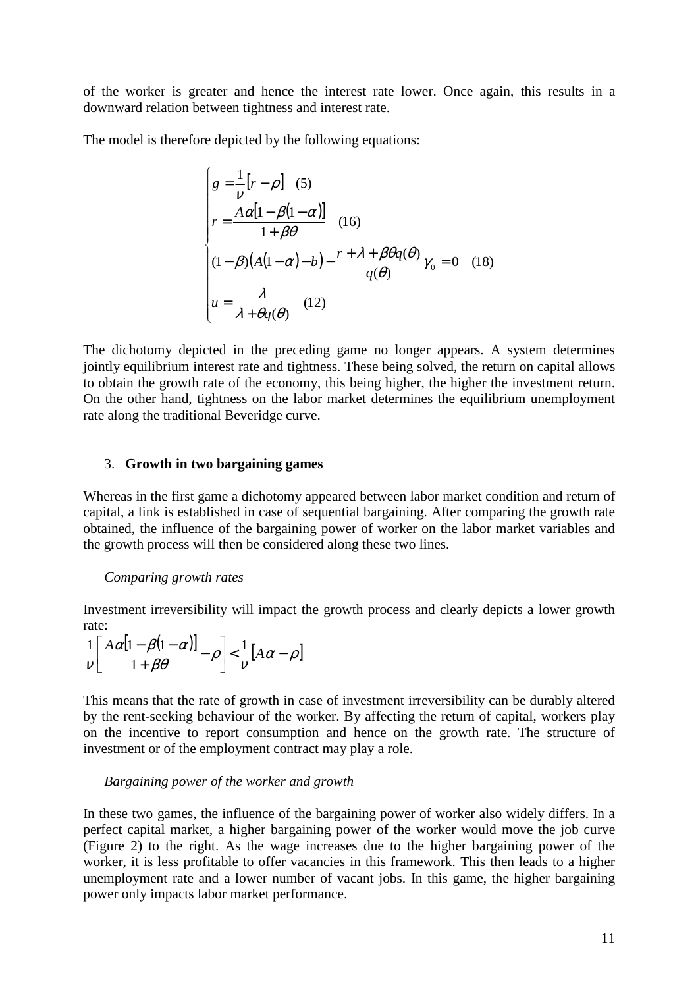of the worker is greater and hence the interest rate lower. Once again, this results in a downward relation between tightness and interest rate.

The model is therefore depicted by the following equations:

$$
\begin{cases}\ng = \frac{1}{v} [r - \rho] & (5) \\
r = \frac{A\alpha [1 - \beta (1 - \alpha)]}{1 + \beta \theta} & (16) \\
(1 - \beta)(A(1 - \alpha) - b) - \frac{r + \lambda + \beta \theta q(\theta)}{q(\theta)} \gamma_0 = 0 & (18) \\
u = \frac{\lambda}{\lambda + \theta q(\theta)} & (12)\n\end{cases}
$$

The dichotomy depicted in the preceding game no longer appears. A system determines jointly equilibrium interest rate and tightness. These being solved, the return on capital allows to obtain the growth rate of the economy, this being higher, the higher the investment return. On the other hand, tightness on the labor market determines the equilibrium unemployment rate along the traditional Beveridge curve.

#### 3. **Growth in two bargaining games**

Whereas in the first game a dichotomy appeared between labor market condition and return of capital, a link is established in case of sequential bargaining. After comparing the growth rate obtained, the influence of the bargaining power of worker on the labor market variables and the growth process will then be considered along these two lines.

#### *Comparing growth rates*

Investment irreversibility will impact the growth process and clearly depicts a lower growth rate:

$$
\frac{1}{\nu} \left[ \frac{A\alpha[1-\beta(1-\alpha)]}{1+\beta\theta} - \rho \right] < \frac{1}{\nu} [A\alpha - \rho]
$$

This means that the rate of growth in case of investment irreversibility can be durably altered by the rent-seeking behaviour of the worker. By affecting the return of capital, workers play on the incentive to report consumption and hence on the growth rate. The structure of investment or of the employment contract may play a role.

#### *Bargaining power of the worker and growth*

In these two games, the influence of the bargaining power of worker also widely differs. In a perfect capital market, a higher bargaining power of the worker would move the job curve (Figure 2) to the right. As the wage increases due to the higher bargaining power of the worker, it is less profitable to offer vacancies in this framework. This then leads to a higher unemployment rate and a lower number of vacant jobs. In this game, the higher bargaining power only impacts labor market performance.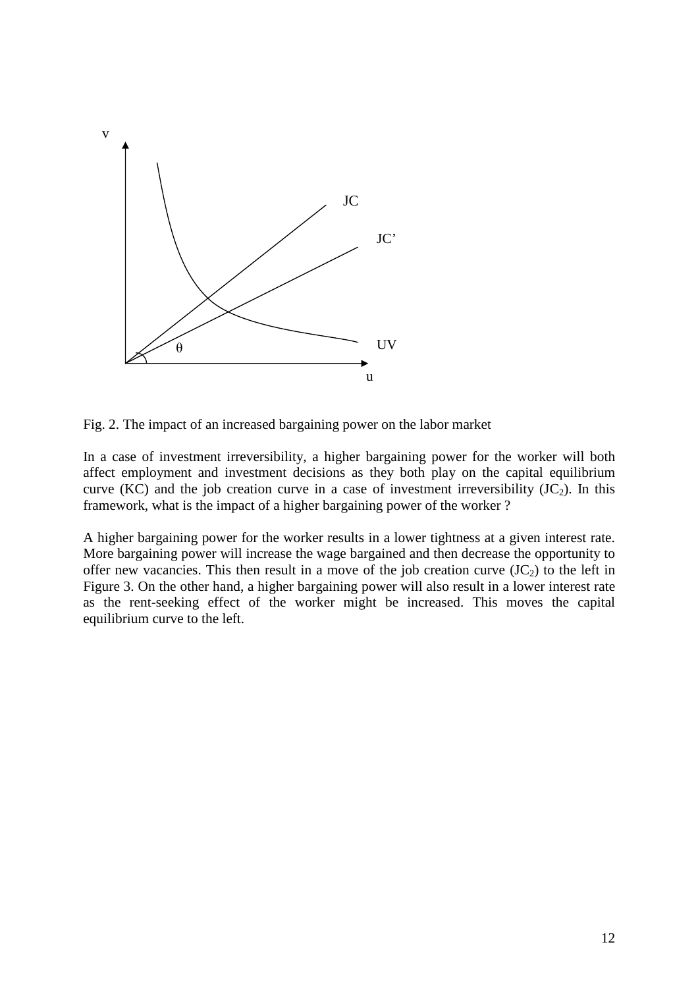

Fig. 2. The impact of an increased bargaining power on the labor market

In a case of investment irreversibility, a higher bargaining power for the worker will both affect employment and investment decisions as they both play on the capital equilibrium curve (KC) and the job creation curve in a case of investment irreversibility  $(JC<sub>2</sub>)$ . In this framework, what is the impact of a higher bargaining power of the worker ?

A higher bargaining power for the worker results in a lower tightness at a given interest rate. More bargaining power will increase the wage bargained and then decrease the opportunity to offer new vacancies. This then result in a move of the job creation curve  $(JC<sub>2</sub>)$  to the left in Figure 3. On the other hand, a higher bargaining power will also result in a lower interest rate as the rent-seeking effect of the worker might be increased. This moves the capital equilibrium curve to the left.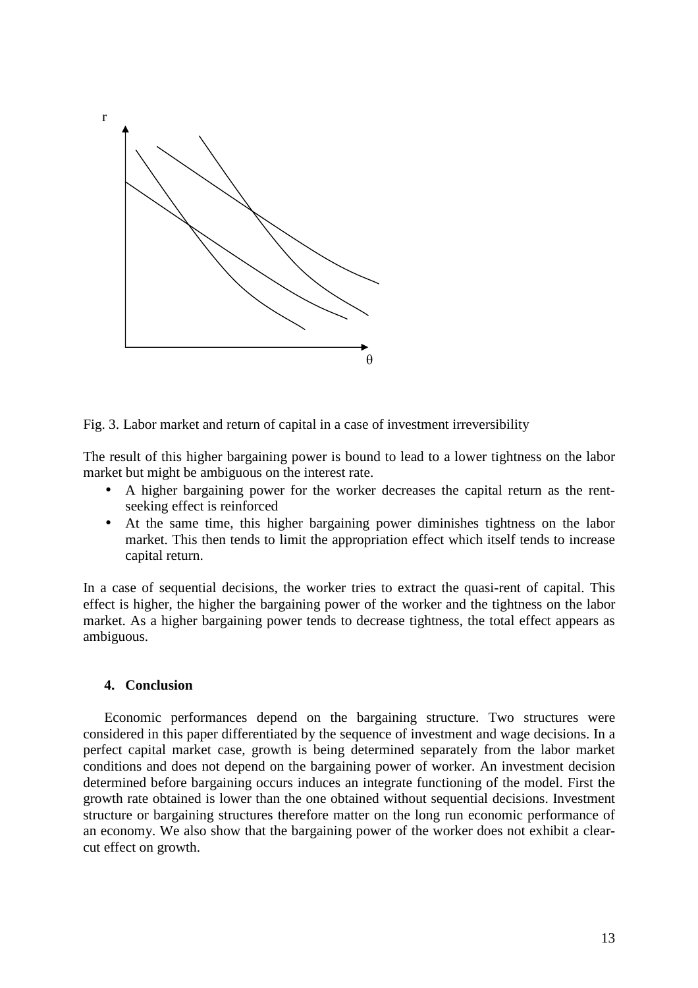

Fig. 3. Labor market and return of capital in a case of investment irreversibility

The result of this higher bargaining power is bound to lead to a lower tightness on the labor market but might be ambiguous on the interest rate.

- A higher bargaining power for the worker decreases the capital return as the rentseeking effect is reinforced
- At the same time, this higher bargaining power diminishes tightness on the labor market. This then tends to limit the appropriation effect which itself tends to increase capital return.

In a case of sequential decisions, the worker tries to extract the quasi-rent of capital. This effect is higher, the higher the bargaining power of the worker and the tightness on the labor market. As a higher bargaining power tends to decrease tightness, the total effect appears as ambiguous.

#### **4. Conclusion**

Economic performances depend on the bargaining structure. Two structures were considered in this paper differentiated by the sequence of investment and wage decisions. In a perfect capital market case, growth is being determined separately from the labor market conditions and does not depend on the bargaining power of worker. An investment decision determined before bargaining occurs induces an integrate functioning of the model. First the growth rate obtained is lower than the one obtained without sequential decisions. Investment structure or bargaining structures therefore matter on the long run economic performance of an economy. We also show that the bargaining power of the worker does not exhibit a clearcut effect on growth.